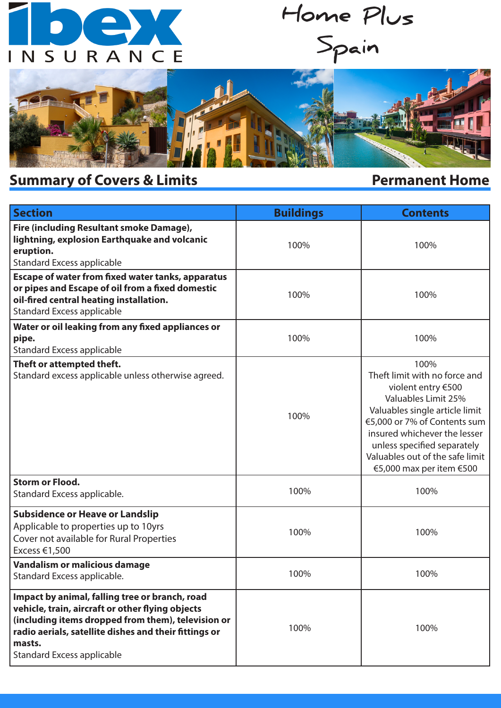# $\bullet$  (e)  $\bullet$ INSURANCE

**Home Plus Spain**



## **Summary of Covers & Limits**

### **Permanent Home**

| <b>Section</b>                                                                                                                                                                                                                                                   | <b>Buildings</b> | <b>Contents</b>                                                                                                                                                                                                                                                                    |
|------------------------------------------------------------------------------------------------------------------------------------------------------------------------------------------------------------------------------------------------------------------|------------------|------------------------------------------------------------------------------------------------------------------------------------------------------------------------------------------------------------------------------------------------------------------------------------|
| Fire (including Resultant smoke Damage),<br>lightning, explosion Earthquake and volcanic<br>eruption.<br><b>Standard Excess applicable</b>                                                                                                                       | 100%             | 100%                                                                                                                                                                                                                                                                               |
| Escape of water from fixed water tanks, apparatus<br>or pipes and Escape of oil from a fixed domestic<br>oil-fired central heating installation.<br><b>Standard Excess applicable</b>                                                                            | 100%             | 100%                                                                                                                                                                                                                                                                               |
| Water or oil leaking from any fixed appliances or<br>pipe.<br><b>Standard Excess applicable</b>                                                                                                                                                                  | 100%             | 100%                                                                                                                                                                                                                                                                               |
| Theft or attempted theft.<br>Standard excess applicable unless otherwise agreed.                                                                                                                                                                                 | 100%             | 100%<br>Theft limit with no force and<br>violent entry €500<br>Valuables Limit 25%<br>Valuables single article limit<br>€5,000 or 7% of Contents sum<br>insured whichever the lesser<br>unless specified separately<br>Valuables out of the safe limit<br>€5,000 max per item €500 |
| <b>Storm or Flood.</b><br>Standard Excess applicable.                                                                                                                                                                                                            | 100%             | 100%                                                                                                                                                                                                                                                                               |
| <b>Subsidence or Heave or Landslip</b><br>Applicable to properties up to 10yrs<br>Cover not available for Rural Properties<br>Excess €1,500                                                                                                                      | 100%             | 100%                                                                                                                                                                                                                                                                               |
| Vandalism or malicious damage<br>Standard Excess applicable.                                                                                                                                                                                                     | 100%             | 100%                                                                                                                                                                                                                                                                               |
| Impact by animal, falling tree or branch, road<br>vehicle, train, aircraft or other flying objects<br>(including items dropped from them), television or<br>radio aerials, satellite dishes and their fittings or<br>masts.<br><b>Standard Excess applicable</b> | 100%             | 100%                                                                                                                                                                                                                                                                               |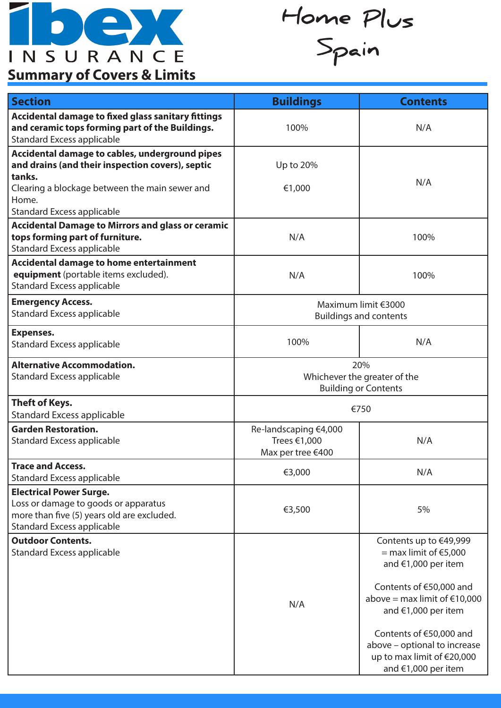

**Home Plus Spain**

## **Summary of Covers & Limits**

| <b>Section</b>                                                                                                                                            | <b>Buildings</b>                                                   | <b>Contents</b>                                                                                              |
|-----------------------------------------------------------------------------------------------------------------------------------------------------------|--------------------------------------------------------------------|--------------------------------------------------------------------------------------------------------------|
| <b>Accidental damage to fixed glass sanitary fittings</b><br>and ceramic tops forming part of the Buildings.<br><b>Standard Excess applicable</b>         | 100%                                                               | N/A                                                                                                          |
| Accidental damage to cables, underground pipes<br>and drains (and their inspection covers), septic<br>tanks.                                              | Up to 20%                                                          | N/A                                                                                                          |
| Clearing a blockage between the main sewer and<br>Home.<br><b>Standard Excess applicable</b>                                                              | €1,000                                                             |                                                                                                              |
| <b>Accidental Damage to Mirrors and glass or ceramic</b><br>tops forming part of furniture.<br><b>Standard Excess applicable</b>                          | N/A                                                                | 100%                                                                                                         |
| <b>Accidental damage to home entertainment</b><br>equipment (portable items excluded).<br><b>Standard Excess applicable</b>                               | N/A                                                                | 100%                                                                                                         |
| <b>Emergency Access.</b><br><b>Standard Excess applicable</b>                                                                                             | Maximum limit €3000<br><b>Buildings and contents</b>               |                                                                                                              |
| <b>Expenses.</b><br><b>Standard Excess applicable</b>                                                                                                     | 100%                                                               | N/A                                                                                                          |
| <b>Alternative Accommodation.</b><br><b>Standard Excess applicable</b>                                                                                    | 20%<br>Whichever the greater of the<br><b>Building or Contents</b> |                                                                                                              |
| Theft of Keys.<br><b>Standard Excess applicable</b>                                                                                                       | €750                                                               |                                                                                                              |
| <b>Garden Restoration.</b><br><b>Standard Excess applicable</b>                                                                                           | Re-landscaping €4,000<br>Trees €1,000<br>Max per tree €400         | N/A                                                                                                          |
| <b>Trace and Access.</b><br><b>Standard Excess applicable</b>                                                                                             | €3,000                                                             | N/A                                                                                                          |
| <b>Electrical Power Surge.</b><br>Loss or damage to goods or apparatus<br>more than five (5) years old are excluded.<br><b>Standard Excess applicable</b> | €3,500                                                             | 5%                                                                                                           |
| <b>Outdoor Contents.</b><br><b>Standard Excess applicable</b>                                                                                             |                                                                    | Contents up to €49,999<br>$=$ max limit of $\epsilon$ 5,000<br>and €1,000 per item                           |
|                                                                                                                                                           | N/A                                                                | Contents of €50,000 and<br>above = max limit of $€10,000$<br>and €1,000 per item                             |
|                                                                                                                                                           |                                                                    | Contents of €50,000 and<br>above - optional to increase<br>up to max limit of €20,000<br>and €1,000 per item |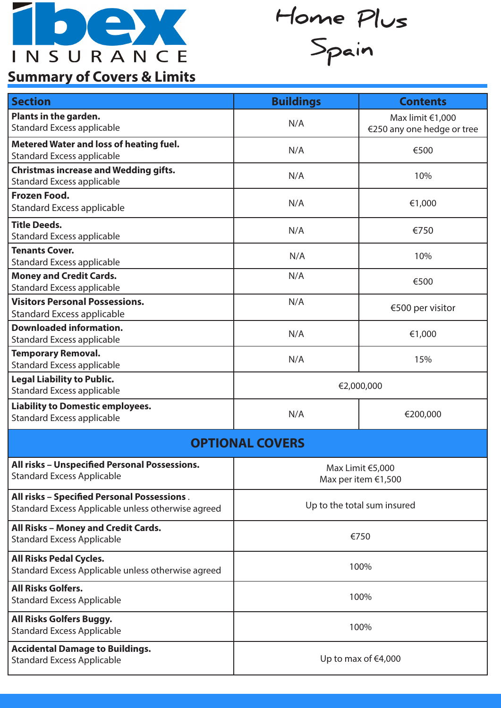

**Home Plus Spain**

## **Summary of Covers & Limits**

| <b>Section</b>                                                                                    | <b>Buildings</b>                        | <b>Contents</b>                                |  |
|---------------------------------------------------------------------------------------------------|-----------------------------------------|------------------------------------------------|--|
| Plants in the garden.<br><b>Standard Excess applicable</b>                                        | N/A                                     | Max limit €1,000<br>€250 any one hedge or tree |  |
| <b>Metered Water and loss of heating fuel.</b><br><b>Standard Excess applicable</b>               | N/A                                     | €500                                           |  |
| <b>Christmas increase and Wedding gifts.</b><br><b>Standard Excess applicable</b>                 | N/A                                     | 10%                                            |  |
| <b>Frozen Food.</b><br><b>Standard Excess applicable</b>                                          | N/A                                     | €1,000                                         |  |
| <b>Title Deeds.</b><br><b>Standard Excess applicable</b>                                          | N/A                                     | €750                                           |  |
| <b>Tenants Cover.</b><br><b>Standard Excess applicable</b>                                        | N/A                                     | 10%                                            |  |
| <b>Money and Credit Cards.</b><br><b>Standard Excess applicable</b>                               | N/A                                     | €500                                           |  |
| <b>Visitors Personal Possessions.</b><br><b>Standard Excess applicable</b>                        | N/A                                     | €500 per visitor                               |  |
| <b>Downloaded information.</b><br><b>Standard Excess applicable</b>                               | N/A                                     | €1,000                                         |  |
| <b>Temporary Removal.</b><br><b>Standard Excess applicable</b>                                    | N/A                                     | 15%                                            |  |
| <b>Legal Liability to Public.</b><br><b>Standard Excess applicable</b>                            | €2,000,000                              |                                                |  |
| <b>Liability to Domestic employees.</b><br><b>Standard Excess applicable</b>                      | N/A                                     | €200,000                                       |  |
| <b>OPTIONAL COVERS</b>                                                                            |                                         |                                                |  |
| All risks - Unspecified Personal Possessions.<br><b>Standard Excess Applicable</b>                | Max Limit €5,000<br>Max per item €1,500 |                                                |  |
| All risks - Specified Personal Possessions.<br>Standard Excess Applicable unless otherwise agreed | Up to the total sum insured             |                                                |  |
| All Risks - Money and Credit Cards.<br><b>Standard Excess Applicable</b>                          | €750                                    |                                                |  |
| <b>All Risks Pedal Cycles.</b><br>Standard Excess Applicable unless otherwise agreed              | 100%                                    |                                                |  |
| <b>All Risks Golfers.</b><br><b>Standard Excess Applicable</b>                                    | 100%                                    |                                                |  |
| All Risks Golfers Buggy.<br><b>Standard Excess Applicable</b>                                     | 100%                                    |                                                |  |
| <b>Accidental Damage to Buildings.</b><br><b>Standard Excess Applicable</b>                       | Up to max of $€4,000$                   |                                                |  |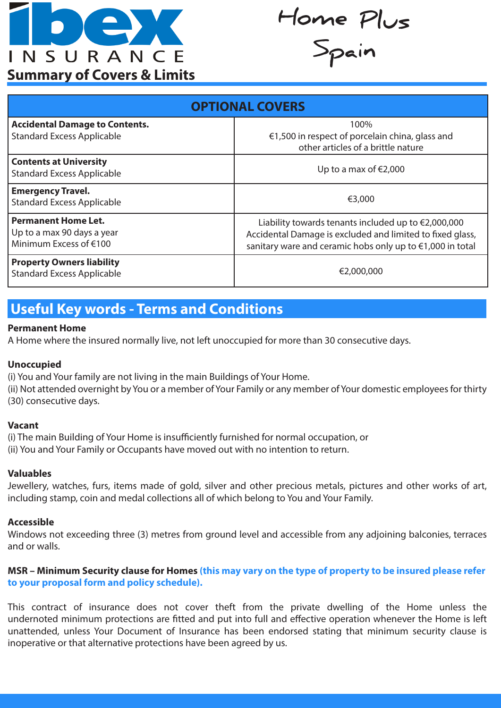

**Home Plus Spain**

| <b>OPTIONAL COVERS</b>                                                             |                                                                                                                                                                                         |  |
|------------------------------------------------------------------------------------|-----------------------------------------------------------------------------------------------------------------------------------------------------------------------------------------|--|
| <b>Accidental Damage to Contents.</b><br><b>Standard Excess Applicable</b>         | 100%<br>€1,500 in respect of porcelain china, glass and<br>other articles of a brittle nature                                                                                           |  |
| <b>Contents at University</b><br><b>Standard Excess Applicable</b>                 | Up to a max of $\epsilon$ 2,000                                                                                                                                                         |  |
| <b>Emergency Travel.</b><br><b>Standard Excess Applicable</b>                      | €3,000                                                                                                                                                                                  |  |
| <b>Permanent Home Let.</b><br>Up to a max 90 days a year<br>Minimum Excess of €100 | Liability towards tenants included up to $\epsilon$ 2,000,000<br>Accidental Damage is excluded and limited to fixed glass,<br>sanitary ware and ceramic hobs only up to €1,000 in total |  |
| <b>Property Owners liability</b><br><b>Standard Excess Applicable</b>              | €2,000,000                                                                                                                                                                              |  |

## **Useful Key words - Terms and Conditions**

#### **Permanent Home**

A Home where the insured normally live, not left unoccupied for more than 30 consecutive days.

#### **Unoccupied**

(i) You and Your family are not living in the main Buildings of Your Home.

(ii) Not attended overnight by You or a member of Your Family or any member of Your domestic employees for thirty (30) consecutive days.

#### **Vacant**

(i) The main Building of Your Home is insufficiently furnished for normal occupation, or (ii) You and Your Family or Occupants have moved out with no intention to return.

#### **Valuables**

Jewellery, watches, furs, items made of gold, silver and other precious metals, pictures and other works of art, including stamp, coin and medal collections all of which belong to You and Your Family.

#### **Accessible**

Windows not exceeding three (3) metres from ground level and accessible from any adjoining balconies, terraces and or walls.

#### **MSR – Minimum Security clause for Homes (this may vary on the type of property to be insured please refer to your proposal form and policy schedule).**

This contract of insurance does not cover theft from the private dwelling of the Home unless the undernoted minimum protections are fitted and put into full and effective operation whenever the Home is left unattended, unless Your Document of Insurance has been endorsed stating that minimum security clause is inoperative or that alternative protections have been agreed by us.